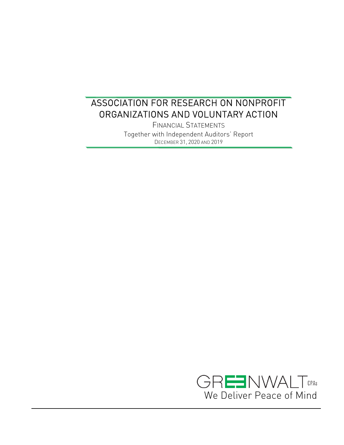FINANCIAL STATEMENTS Together with Independent Auditors' Report DECEMBER 31, 2020 AND 2019

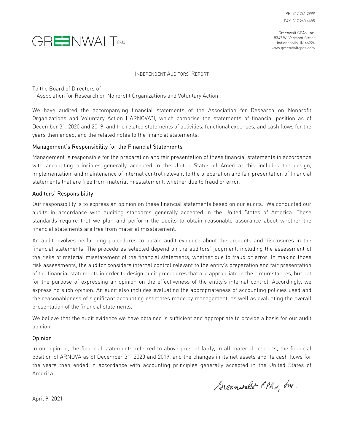PH 317 241 2999 FAX 317 240 4485



Greenwalt CPAs, Inc. 5342 W. Vermont Street Indianapolis, IN 46224 www.greenwaltcpas.com

INDEPENDENT AUDITORS' REPORT

To the Board of Directors of

Association for Research on Nonprofit Organizations and Voluntary Action:

We have audited the accompanying financial statements of the Association for Research on Nonprofit Organizations and Voluntary Action ("ARNOVA"), which comprise the statements of financial position as of December 31, 2020 and 2019, and the related statements of activities, functional expenses, and cash flows for the years then ended, and the related notes to the financial statements.

#### Management's Responsibility for the Financial Statements

Management is responsible for the preparation and fair presentation of these financial statements in accordance with accounting principles generally accepted in the United States of America; this includes the design, implementation, and maintenance of internal control relevant to the preparation and fair presentation of financial statements that are free from material misstatement, whether due to fraud or error.

#### Auditors' Responsibility

Our responsibility is to express an opinion on these financial statements based on our audits. We conducted our audits in accordance with auditing standards generally accepted in the United States of America. Those standards require that we plan and perform the audits to obtain reasonable assurance about whether the financial statements are free from material misstatement.

An audit involves performing procedures to obtain audit evidence about the amounts and disclosures in the financial statements. The procedures selected depend on the auditors' judgment, including the assessment of the risks of material misstatement of the financial statements, whether due to fraud or error. In making those risk assessments, the auditor considers internal control relevant to the entity's preparation and fair presentation of the financial statements in order to design audit procedures that are appropriate in the circumstances, but not for the purpose of expressing an opinion on the effectiveness of the entity's internal control. Accordingly, we express no such opinion. An audit also includes evaluating the appropriateness of accounting policies used and the reasonableness of significant accounting estimates made by management, as well as evaluating the overall presentation of the financial statements.

We believe that the audit evidence we have obtained is sufficient and appropriate to provide a basis for our audit opinion.

#### Opinion

In our opinion, the financial statements referred to above present fairly, in all material respects, the financial position of ARNOVA as of December 31, 2020 and 2019, and the changes in its net assets and its cash flows for the years then ended in accordance with accounting principles generally accepted in the United States of America.

Scenwalt CPAs, Ine.

April 9, 2021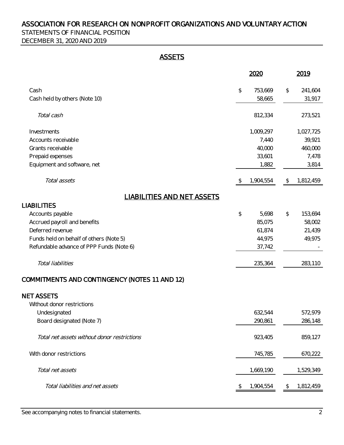STATEMENTS OF FINANCIAL POSITION DECEMBER 31, 2020 AND 2019

## **ASSETS**

|                                               |                | 2020      |               | 2019      |
|-----------------------------------------------|----------------|-----------|---------------|-----------|
| Cash                                          | $\updownarrow$ | 753,669   | $\frac{1}{2}$ | 241,604   |
| Cash held by others (Note 10)                 |                | 58,665    |               | 31,917    |
| Total cash                                    |                | 812,334   |               | 273,521   |
| Investments                                   |                | 1,009,297 |               | 1,027,725 |
| Accounts receivable                           |                | 7,440     |               | 39,921    |
| Grants receivable                             |                | 40,000    |               | 460,000   |
| Prepaid expenses                              |                | 33,601    |               | 7,478     |
| Equipment and software, net                   |                | 1,882     |               | 3,814     |
| Total assets                                  | <sup>\$</sup>  | 1,904,554 | $\mathcal{L}$ | 1,812,459 |
| <b>LIABILITIES AND NET ASSETS</b>             |                |           |               |           |
| <b>LIABILITIES</b>                            |                |           |               |           |
| Accounts payable                              | \$             | 5,698     | \$            | 153,694   |
| Accrued payroll and benefits                  |                | 85,075    |               | 58,002    |
| Deferred revenue                              |                | 61,874    |               | 21,439    |
| Funds held on behalf of others (Note 5)       |                | 44,975    |               | 49,975    |
| Refundable advance of PPP Funds (Note 6)      |                | 37,742    |               |           |
| Total liabilities                             |                | 235,364   |               | 283,110   |
| COMMITMENTS AND CONTINGENCY (NOTES 11 AND 12) |                |           |               |           |
| <b>NET ASSETS</b>                             |                |           |               |           |
| Without donor restrictions                    |                |           |               |           |
| Undesignated                                  |                | 632,544   |               | 572,979   |
| Board designated (Note 7)                     |                | 290,861   |               | 286,148   |
| Total net assets without donor restrictions   |                | 923,405   |               | 859,127   |
| With donor restrictions                       |                | 745,785   |               | 670,222   |
| Total net assets                              |                | 1,669,190 |               | 1,529,349 |
| Total liabilities and net assets              |                | 1,904,554 |               | 1,812,459 |

See accompanying notes to financial statements. 2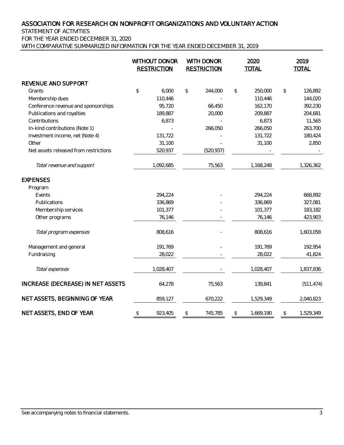STATEMENT OF ACTIVITIES

FOR THE YEAR ENDED DECEMBER 31, 2020

WITH COMPARATIVE SUMMARIZED INFORMATION FOR THE YEAR ENDED DECEMBER 31, 2019

|                                       |               | <b>WITHOUT DONOR</b><br><b>RESTRICTION</b> | WITH DONOR<br><b>RESTRICTION</b> |            | 2020<br><b>TOTAL</b> |           | 2019<br><b>TOTAL</b> |
|---------------------------------------|---------------|--------------------------------------------|----------------------------------|------------|----------------------|-----------|----------------------|
| REVENUE AND SUPPORT                   |               |                                            |                                  |            |                      |           |                      |
| Grants                                | $\frac{1}{2}$ | 6,000                                      | $\updownarrow$                   | 244,000    | \$                   | 250,000   | \$<br>126,892        |
| Membership dues                       |               | 110,446                                    |                                  |            |                      | 110,446   | 144,020              |
| Conference revenue and sponsorships   |               | 95,720                                     |                                  | 66,450     |                      | 162,170   | 392,230              |
| Publications and royalties            |               | 189,887                                    |                                  | 20,000     |                      | 209,887   | 204,681              |
| Contributions                         |               | 6,873                                      |                                  |            |                      | 6,873     | 11,565               |
| In-kind contributions (Note 1)        |               |                                            |                                  | 266,050    |                      | 266,050   | 263,700              |
| Investment income, net (Note 4)       |               | 131,722                                    |                                  |            |                      | 131,722   | 180,424              |
| Other                                 |               | 31,100                                     |                                  |            |                      | 31,100    | 2,850                |
| Net assets released from restrictions |               | 520,937                                    |                                  | (520, 937) |                      |           |                      |
| Total revenue and support             |               | 1,092,685                                  |                                  | 75,563     |                      | 1,168,248 | 1,326,362            |
| <b>EXPENSES</b>                       |               |                                            |                                  |            |                      |           |                      |
| Program                               |               |                                            |                                  |            |                      |           |                      |
| Events                                |               | 294,224                                    |                                  |            |                      | 294,224   | 668,892              |
| Publications                          |               | 336,869                                    |                                  |            |                      | 336,869   | 327,081              |
| Membership services                   |               | 101,377                                    |                                  |            |                      | 101,377   | 183,182              |
| Other programs                        |               | 76,146                                     |                                  |            |                      | 76,146    | 423,903              |
| Total program expenses                |               | 808,616                                    |                                  |            |                      | 808,616   | 1,603,058            |
| Management and general                |               | 191,769                                    |                                  |            |                      | 191,769   | 192,954              |
| Fundraising                           |               | 28,022                                     |                                  |            |                      | 28,022    | 41,824               |
| Total expenses                        |               | 1,028,407                                  |                                  |            |                      | 1,028,407 | 1,837,836            |
| INCREASE (DECREASE) IN NET ASSETS     |               | 64,278                                     |                                  | 75,563     |                      | 139,841   | (511, 474)           |
| NET ASSETS, BEGINNING OF YEAR         |               | 859,127                                    |                                  | 670,222    |                      | 1,529,349 | 2,040,823            |
| NET ASSETS, END OF YEAR               | \$            | 923,405                                    | \$                               | 745,785    | \$                   | 1,669,190 | \$<br>1,529,349      |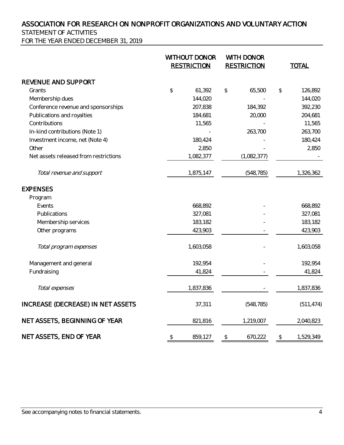STATEMENT OF ACTIVITIES

FOR THE YEAR ENDED DECEMBER 31, 2019

|                                       | <b>WITHOUT DONOR</b><br><b>RESTRICTION</b> | WITH DONOR<br><b>RESTRICTION</b> | <b>TOTAL</b>    |
|---------------------------------------|--------------------------------------------|----------------------------------|-----------------|
| REVENUE AND SUPPORT                   |                                            |                                  |                 |
| Grants                                | \$<br>61,392                               | \$<br>65,500                     | \$<br>126,892   |
| Membership dues                       | 144,020                                    |                                  | 144,020         |
| Conference revenue and sponsorships   | 207,838                                    | 184,392                          | 392,230         |
| Publications and royalties            | 184,681                                    | 20,000                           | 204,681         |
| Contributions                         | 11,565                                     |                                  | 11,565          |
| In-kind contributions (Note 1)        |                                            | 263,700                          | 263,700         |
| Investment income, net (Note 4)       | 180,424                                    |                                  | 180,424         |
| Other                                 | 2,850                                      |                                  | 2,850           |
| Net assets released from restrictions | 1,082,377                                  | (1,082,377)                      |                 |
| Total revenue and support             | 1,875,147                                  | (548, 785)                       | 1,326,362       |
| <b>EXPENSES</b>                       |                                            |                                  |                 |
| Program                               |                                            |                                  |                 |
| Events                                | 668,892                                    |                                  | 668,892         |
| Publications                          | 327,081                                    |                                  | 327,081         |
| Membership services                   | 183,182                                    |                                  | 183,182         |
| Other programs                        | 423,903                                    |                                  | 423,903         |
| Total program expenses                | 1,603,058                                  |                                  | 1,603,058       |
| Management and general                | 192,954                                    |                                  | 192,954         |
| Fundraising                           | 41,824                                     |                                  | 41,824          |
| Total expenses                        | 1,837,836                                  |                                  | 1,837,836       |
| INCREASE (DECREASE) IN NET ASSETS     | 37,311                                     | (548, 785)                       | (511, 474)      |
| NET ASSETS, BEGINNING OF YEAR         | 821,816                                    | 1,219,007                        | 2,040,823       |
| NET ASSETS, END OF YEAR               | \$<br>859,127                              | \$<br>670,222                    | \$<br>1,529,349 |

See accompanying notes to financial statements. 4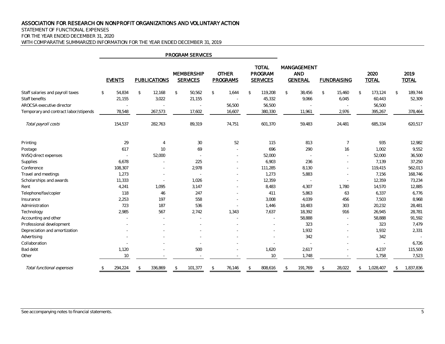#### STATEMENT OF FUNCTIONAL EXPENSES

FOR THE YEAR ENDED DECEMBER 31, 2020

WITH COMPARATIVE SUMMARIZED INFORMATION FOR THE YEAR ENDED DECEMBER 31, 2019

|                                       |    |               |                     |              | <b>PROGRAM SERVICES</b>              |               |                          |                                            |                                             |                          |                      |               |                      |
|---------------------------------------|----|---------------|---------------------|--------------|--------------------------------------|---------------|--------------------------|--------------------------------------------|---------------------------------------------|--------------------------|----------------------|---------------|----------------------|
|                                       |    | <b>EVENTS</b> | <b>PUBLICATIONS</b> |              | <b>MEMBERSHIP</b><br><b>SERVICES</b> |               | <b>OTHER</b><br>PROGRAMS | <b>TOTAL</b><br>PROGRAM<br><b>SERVICES</b> | MANGAGEMENT<br><b>AND</b><br><b>GENERAL</b> | <b>FUNDRAISING</b>       | 2020<br><b>TOTAL</b> |               | 2019<br><b>TOTAL</b> |
| Staff salaries and payroll taxes      | \$ | 54,834        | \$<br>12,168        | $\mathbb{S}$ | 50,562                               | $\mathcal{L}$ | 1,644                    | \$<br>119,208                              | \$<br>38,456                                | \$<br>15,460             | \$<br>173,124        | $\sqrt{2}$    | 189,744              |
| Staff benefits                        |    | 21,155        | 3,022               |              | 21,155                               |               | $\sim$                   | 45,332                                     | 9,066                                       | 6,045                    | 60,443               |               | 52,309               |
| AROCSA executive director             |    |               | $\sim$              |              | $\overline{\phantom{a}}$             |               | 56,500                   | 56,500                                     |                                             | $\overline{\phantom{a}}$ | 56,500               |               |                      |
| Temporary and contract labor/stipends |    | 78,548        | 267,573             |              | 17,602                               |               | 16,607                   | 380,330                                    | 11,961                                      | 2,976                    | 395,267              |               | 378,464              |
| Total payroll costs                   |    | 154,537       | 282,763             |              | 89,319                               |               | 74,751                   | 601,370                                    | 59,483                                      | 24,481                   | 685,334              |               | 620,517              |
| Printing                              |    | 29            | $\overline{4}$      |              | 30                                   |               | 52                       | 115                                        | 813                                         | $\overline{7}$           | 935                  |               | 12,982               |
| Postage                               |    | 617           | 10                  |              | 69                                   |               |                          | 696                                        | 290                                         | 16                       | 1,002                |               | 9,552                |
| NVSQ direct expenses                  |    |               | 52,000              |              |                                      |               |                          | 52,000                                     |                                             |                          | 52,000               |               | 36,500               |
| Supplies                              |    | 6,678         | $\sim$              |              | 225                                  |               |                          | 6,903                                      | 236                                         |                          | 7,139                |               | 37,250               |
| Conference                            |    | 108,307       | $\sim$              |              | 2,978                                |               | $\sim$                   | 111,285                                    | 8,130                                       |                          | 119,415              |               | 562,013              |
| Travel and meetings                   |    | 1,273         |                     |              | ×.                                   |               |                          | 1,273                                      | 5,883                                       |                          | 7,156                |               | 168,746              |
| Scholarships and awards               |    | 11,333        | $\sim$              |              | 1,026                                |               |                          | 12,359                                     | $\overline{\phantom{a}}$                    | $\overline{\phantom{a}}$ | 12,359               |               | 73,234               |
| Rent                                  |    | 4,241         | 1,095               |              | 3,147                                |               |                          | 8,483                                      | 4,307                                       | 1,780                    | 14,570               |               | 12,885               |
| Telephone/fax/copier                  |    | 118           | 46                  |              | 247                                  |               |                          | 411                                        | 5,863                                       | 63                       | 6,337                |               | 6,776                |
| Insurance                             |    | 2,253         | 197                 |              | 558                                  |               |                          | 3,008                                      | 4,039                                       | 456                      | 7,503                |               | 8,968                |
| Administration                        |    | 723           | 187                 |              | 536                                  |               |                          | 1,446                                      | 18,483                                      | 303                      | 20,232               |               | 28,481               |
| Technology                            |    | 2,985         | 567                 |              | 2,742                                |               | 1,343                    | 7,637                                      | 18,392                                      | 916                      | 26,945               |               | 28,781               |
| Accounting and other                  |    |               |                     |              | ä,                                   |               |                          |                                            | 58,888                                      |                          | 58,888               |               | 91,592               |
| Professional development              |    |               |                     |              |                                      |               |                          |                                            | 323                                         |                          | 323                  |               | 7,479                |
| Depreciation and amortization         |    |               |                     |              |                                      |               |                          |                                            | 1,932                                       |                          | 1,932                |               | 2,331                |
| Advertising                           |    |               |                     |              |                                      |               |                          |                                            | 342                                         |                          | 342                  |               |                      |
| Collaboration                         |    |               |                     |              | ä,                                   |               |                          |                                            | $\overline{\phantom{a}}$                    |                          | $\sim$               |               | 6,726                |
| Bad debt                              |    | 1,120         |                     |              | 500                                  |               |                          | 1,620                                      | 2,617                                       |                          | 4,237                |               | 115,500              |
| Other                                 |    | 10            |                     |              |                                      |               |                          | 10                                         | 1,748                                       |                          | 1,758                |               | 7,523                |
| Total functional expenses             | \$ | 294,224       | \$<br>336,869       | \$           | 101,377                              | $\sqrt{2}$    | 76,146                   | \$<br>808,616                              | \$<br>191,769                               | \$<br>28,022             | \$<br>1,028,407      | $\mathcal{L}$ | 1,837,836            |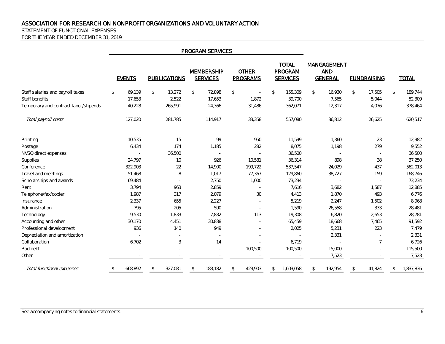#### STATEMENT OF FUNCTIONAL EXPENSES

FOR THE YEAR ENDED DECEMBER 31, 2019

|                                                                                             |                                             |                                             | PROGRAM SERVICES                     |                                  |                                              |                                             |                                           |                                               |
|---------------------------------------------------------------------------------------------|---------------------------------------------|---------------------------------------------|--------------------------------------|----------------------------------|----------------------------------------------|---------------------------------------------|-------------------------------------------|-----------------------------------------------|
|                                                                                             | <b>EVENTS</b>                               | <b>PUBLICATIONS</b>                         | <b>MEMBERSHIP</b><br><b>SERVICES</b> | <b>OTHER</b><br><b>PROGRAMS</b>  | <b>TOTAL</b><br>PROGRAM<br><b>SERVICES</b>   | MANGAGEMENT<br><b>AND</b><br><b>GENERAL</b> | <b>FUNDRAISING</b>                        | <b>TOTAL</b>                                  |
| Staff salaries and payroll taxes<br>Staff benefits<br>Temporary and contract labor/stipends | $\mathcal{L}$<br>69,139<br>17,653<br>40,228 | 13,272<br>$\mathcal{L}$<br>2,522<br>265,991 | \$<br>72,898<br>17,653<br>24,366     | $\mathcal{L}$<br>1,872<br>31,486 | $\mathbb{S}$<br>155,309<br>39,700<br>362,071 | 16,930<br>$\mathcal{L}$<br>7,565<br>12,317  | $\mathcal{L}$<br>17,505<br>5,044<br>4,076 | $\mathcal{L}$<br>189,744<br>52,309<br>378,464 |
| Total payroll costs                                                                         | 127,020                                     | 281,785                                     | 114,917                              | 33,358                           | 557,080                                      | 36,812                                      | 26,625                                    | 620,517                                       |
| Printing                                                                                    | 10,535                                      | 15                                          | 99                                   | 950                              | 11,599                                       | 1,360                                       | 23                                        | 12,982                                        |
| Postage                                                                                     | 6,434                                       | 174                                         | 1,185                                | 282                              | 8,075                                        | 1,198                                       | 279                                       | 9,552                                         |
| NVSQ direct expenses                                                                        | $\overline{\phantom{a}}$                    | 36,500                                      |                                      | $\overline{a}$                   | 36,500                                       |                                             |                                           | 36,500                                        |
| Supplies                                                                                    | 24,797                                      | 10                                          | 926                                  | 10,581                           | 36,314                                       | 898                                         | 38                                        | 37,250                                        |
| Conference                                                                                  | 322,903                                     | 22                                          | 14,900                               | 199,722                          | 537,547                                      | 24,029                                      | 437                                       | 562,013                                       |
| Travel and meetings                                                                         | 51,468                                      | 8                                           | 1,017                                | 77,367                           | 129,860                                      | 38,727                                      | 159                                       | 168,746                                       |
| Scholarships and awards                                                                     | 69,484                                      |                                             | 2,750                                | 1,000                            | 73,234                                       |                                             |                                           | 73,234                                        |
| Rent                                                                                        | 3,794                                       | 963                                         | 2,859                                |                                  | 7,616                                        | 3,682                                       | 1,587                                     | 12,885                                        |
| Telephone/fax/copier                                                                        | 1,987                                       | 317                                         | 2,079                                | $30\,$                           | 4,413                                        | 1,870                                       | 493                                       | 6,776                                         |
| Insurance                                                                                   | 2,337                                       | 655                                         | 2,227                                |                                  | 5,219                                        | 2,247                                       | 1,502                                     | 8,968                                         |
| Administration                                                                              | 795                                         | 205                                         | 590                                  |                                  | 1,590                                        | 26,558                                      | 333                                       | 28,481                                        |
| Technology                                                                                  | 9,530                                       | 1,833                                       | 7,832                                | 113                              | 19,308                                       | 6,820                                       | 2,653                                     | 28,781                                        |
| Accounting and other                                                                        | 30,170                                      | 4,451                                       | 30,838                               |                                  | 65,459                                       | 18,668                                      | 7,465                                     | 91,592                                        |
| Professional development                                                                    | 936                                         | 140                                         | 949                                  |                                  | 2,025                                        | 5,231                                       | 223                                       | 7,479                                         |
| Depreciation and amortization                                                               |                                             |                                             |                                      |                                  |                                              | 2,331                                       |                                           | 2,331                                         |
| Collaboration                                                                               | 6,702                                       | 3                                           | 14                                   |                                  | 6,719                                        |                                             | $\overline{7}$                            | 6,726                                         |
| Bad debt                                                                                    |                                             |                                             |                                      | 100,500                          | 100,500                                      | 15,000                                      |                                           | 115,500                                       |
| Other                                                                                       |                                             |                                             |                                      |                                  |                                              | 7,523                                       |                                           | 7,523                                         |
| Total functional expenses                                                                   | 668,892<br>\$                               | 327,081<br>\$                               | 183,182<br>\$                        | 423,903<br>\$                    | 1,603,058<br>\$                              | 192,954<br>\$                               | 41,824<br>\$                              | 1,837,836<br>\$                               |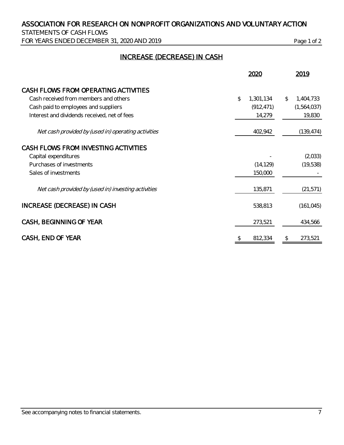STATEMENTS OF CASH FLOWS FOR YEARS ENDED DECEMBER 31, 2020 AND 2019 Page 1 of 2

## INCREASE (DECREASE) IN CASH

|                                                     | 2020            |              | 2019        |
|-----------------------------------------------------|-----------------|--------------|-------------|
| CASH FLOWS FROM OPERATING ACTIVITIES                |                 |              |             |
| Cash received from members and others               | \$<br>1,301,134 | $\mathbb{S}$ | 1,404,733   |
| Cash paid to employees and suppliers                | (912, 471)      |              | (1,564,037) |
| Interest and dividends received, net of fees        | 14,279          |              | 19,830      |
| Net cash provided by (used in) operating activities | 402,942         |              | (139, 474)  |
| CASH FLOWS FROM INVESTING ACTIVITIES                |                 |              |             |
| Capital expenditures                                |                 |              | (2,033)     |
| Purchases of investments                            | (14, 129)       |              | (19, 538)   |
| Sales of investments                                | 150,000         |              |             |
| Net cash provided by (used in) investing activities | 135,871         |              | (21, 571)   |
| INCREASE (DECREASE) IN CASH                         | 538,813         |              | (161, 045)  |
| CASH, BEGINNING OF YEAR                             | 273,521         |              | 434,566     |
| CASH, END OF YEAR                                   | \$<br>812,334   | \$           | 273,521     |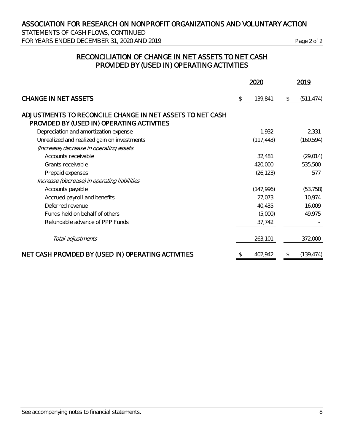STATEMENTS OF CASH FLOWS, CONTINUED FOR YEARS ENDED DECEMBER 31, 2020 AND 2019 Page 2 of 2

## RECONCILIATION OF CHANGE IN NET ASSETS TO NET CASH PROVIDED BY (USED IN) OPERATING ACTIVITIES

|                                                                                                         | 2020 |            |              | 2019       |
|---------------------------------------------------------------------------------------------------------|------|------------|--------------|------------|
| <b>CHANGE IN NET ASSETS</b>                                                                             | -S   | 139,841    | $\mathbb{S}$ | (511, 474) |
| ADJUSTMENTS TO RECONCILE CHANGE IN NET ASSETS TO NET CASH<br>PROVIDED BY (USED IN) OPERATING ACTIVITIES |      |            |              |            |
| Depreciation and amortization expense                                                                   |      | 1,932      |              | 2,331      |
| Unrealized and realized gain on investments                                                             |      | (117, 443) |              | (160, 594) |
| (Increase) decrease in operating assets                                                                 |      |            |              |            |
| Accounts receivable                                                                                     |      | 32,481     |              | (29, 014)  |
| Grants receivable                                                                                       |      | 420,000    |              | 535,500    |
| Prepaid expenses                                                                                        |      | (26, 123)  |              | 577        |
| Increase (decrease) in operating liabilities                                                            |      |            |              |            |
| Accounts payable                                                                                        |      | (147,996)  |              | (53, 758)  |
| Accrued payroll and benefits                                                                            |      | 27,073     |              | 10,974     |
| Deferred revenue                                                                                        |      | 40,435     |              | 16,009     |
| Funds held on behalf of others                                                                          |      | (5,000)    |              | 49,975     |
| Refundable advance of PPP Funds                                                                         |      | 37,742     |              |            |
| Total adjustments                                                                                       |      | 263,101    |              | 372,000    |
| NET CASH PROVIDED BY (USED IN) OPERATING ACTIVITIES                                                     | \$   | 402,942    | \$           | (139, 474) |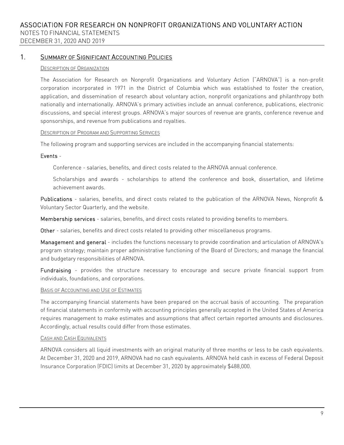1. SUMMARY OF SIGNIFICANT ACCOUNTING POLICIES

#### DESCRIPTION OF ORGANIZATION

The Association for Research on Nonprofit Organizations and Voluntary Action ("ARNOVA") is a non-profit corporation incorporated in 1971 in the District of Columbia which was established to foster the creation, application, and dissemination of research about voluntary action, nonprofit organizations and philanthropy both nationally and internationally. ARNOVA's primary activities include an annual conference, publications, electronic discussions, and special interest groups. ARNOVA's major sources of revenue are grants, conference revenue and sponsorships, and revenue from publications and royalties.

#### DESCRIPTION OF PROGRAM AND SUPPORTING SERVICES

The following program and supporting services are included in the accompanying financial statements:

#### Events -

Conference - salaries, benefits, and direct costs related to the ARNOVA annual conference.

Scholarships and awards - scholarships to attend the conference and book, dissertation, and lifetime achievement awards.

Publications - salaries, benefits, and direct costs related to the publication of the ARNOVA News, Nonprofit & Voluntary Sector Quarterly, and the website.

Membership services - salaries, benefits, and direct costs related to providing benefits to members.

Other - salaries, benefits and direct costs related to providing other miscellaneous programs.

Management and general - includes the functions necessary to provide coordination and articulation of ARNOVA's program strategy; maintain proper administrative functioning of the Board of Directors; and manage the financial and budgetary responsibilities of ARNOVA.

Fundraising - provides the structure necessary to encourage and secure private financial support from individuals, foundations, and corporations.

#### BASIS OF ACCOUNTING AND USE OF ESTIMATES

The accompanying financial statements have been prepared on the accrual basis of accounting. The preparation of financial statements in conformity with accounting principles generally accepted in the United States of America requires management to make estimates and assumptions that affect certain reported amounts and disclosures. Accordingly, actual results could differ from those estimates.

#### CASH AND CASH EQUIVALENTS

ARNOVA considers all liquid investments with an original maturity of three months or less to be cash equivalents. At December 31, 2020 and 2019, ARNOVA had no cash equivalents. ARNOVA held cash in excess of Federal Deposit Insurance Corporation (FDIC) limits at December 31, 2020 by approximately \$488,000.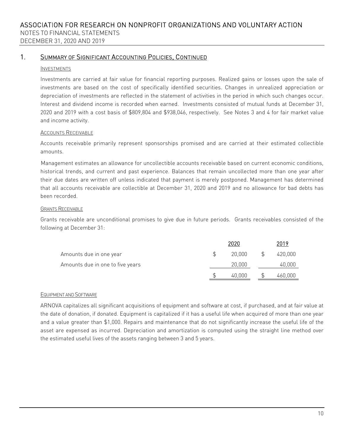### 1. SUMMARY OF SIGNIFICANT ACCOUNTING POLICIES, CONTINUED

#### INVESTMENTS

Investments are carried at fair value for financial reporting purposes. Realized gains or losses upon the sale of investments are based on the cost of specifically identified securities. Changes in unrealized appreciation or depreciation of investments are reflected in the statement of activities in the period in which such changes occur. Interest and dividend income is recorded when earned. Investments consisted of mutual funds at December 31, 2020 and 2019 with a cost basis of \$809,804 and \$938,046, respectively. See Notes 3 and 4 for fair market value and income activity.

#### ACCOUNTS RECEIVABLE

Accounts receivable primarily represent sponsorships promised and are carried at their estimated collectible amounts.

Management estimates an allowance for uncollectible accounts receivable based on current economic conditions, historical trends, and current and past experience. Balances that remain uncollected more than one year after their due dates are written off unless indicated that payment is merely postponed. Management has determined that all accounts receivable are collectible at December 31, 2020 and 2019 and no allowance for bad debts has been recorded.

#### GRANTS RECEIVABLE

Grants receivable are unconditional promises to give due in future periods. Grants receivables consisted of the following at December 31:

|                                  | 2020   | 2019    |
|----------------------------------|--------|---------|
| Amounts due in one year          | 20.000 | 420,000 |
| Amounts due in one to five years | 20,000 | 40,000  |
|                                  | 40.000 | 460,000 |

#### EQUIPMENT AND SOFTWARE

ARNOVA capitalizes all significant acquisitions of equipment and software at cost, if purchased, and at fair value at the date of donation, if donated. Equipment is capitalized if it has a useful life when acquired of more than one year and a value greater than \$1,000. Repairs and maintenance that do not significantly increase the useful life of the asset are expensed as incurred. Depreciation and amortization is computed using the straight line method over the estimated useful lives of the assets ranging between 3 and 5 years.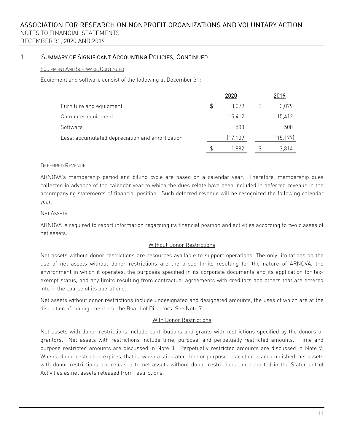### 1. SUMMARY OF SIGNIFICANT ACCOUNTING POLICIES, CONTINUED

#### EQUIPMENT AND SOFTWARE, CONTINUED

Equipment and software consist of the following at December 31:

|                                                 |    | 2020      |   | 2019      |
|-------------------------------------------------|----|-----------|---|-----------|
| Furniture and equipment                         | \$ | 3.079     | S | 3,079     |
| Computer equipment                              |    | 15,412    |   | 15,412    |
| Software                                        |    | 500       |   | 500       |
| Less: accumulated depreciation and amortization |    | (17, 109) |   | (15, 177) |
|                                                 | S  | 1.882     |   | 3.814     |

#### DEFERRED REVENUE

ARNOVA's membership period and billing cycle are based on a calendar year. Therefore, membership dues collected in advance of the calendar year to which the dues relate have been included in deferred revenue in the accompanying statements of financial position. Such deferred revenue will be recognized the following calendar year.

#### NET ASSETS

ARNOVA is required to report information regarding its financial position and activities according to two classes of net assets:

#### Without Donor Restrictions

Net assets without donor restrictions are resources available to support operations. The only limitations on the use of net assets without donor restrictions are the broad limits resulting for the nature of ARNOVA, the environment in which it operates, the purposes specified in its corporate documents and its application for taxexempt status, and any limits resulting from contractual agreements with creditors and others that are entered into in the course of its operations.

Net assets without donor restrictions include undesignated and designated amounts, the uses of which are at the discretion of management and the Board of Directors. See Note 7.

#### With Donor Restrictions

Net assets with donor restrictions include contributions and grants with restrictions specified by the donors or grantors. Net assets with restrictions include time, purpose, and perpetually restricted amounts. Time and purpose restricted amounts are discussed in Note 8. Perpetually restricted amounts are discussed in Note 9. When a donor restriction expires, that is, when a stipulated time or purpose restriction is accomplished, net assets with donor restrictions are released to net assets without donor restrictions and reported in the Statement of Activities as net assets released from restrictions.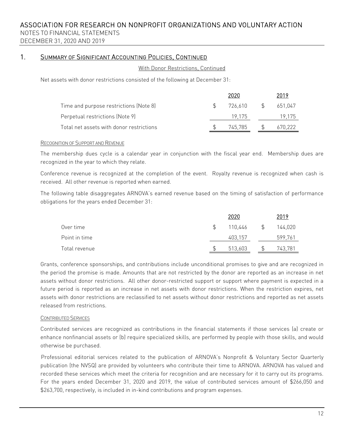NOTES TO FINANCIAL STATEMENTS DECEMBER 31, 2020 AND 2019

## 1. SUMMARY OF SIGNIFICANT ACCOUNTING POLICIES, CONTINUED

With Donor Restrictions, Continued

Net assets with donor restrictions consisted of the following at December 31:

|                                          | 2020    |        |         |
|------------------------------------------|---------|--------|---------|
| Time and purpose restrictions (Note 8)   | 726 610 | $\sim$ | 651.047 |
| Perpetual restrictions (Note 9)          | 19 175  |        | 19.175  |
| Total net assets with donor restrictions | 745.785 |        | 670.222 |

#### RECOGNITION OF SUPPORT AND REVENUE

The membership dues cycle is a calendar year in conjunction with the fiscal year end. Membership dues are recognized in the year to which they relate.

Conference revenue is recognized at the completion of the event. Royalty revenue is recognized when cash is received. All other revenue is reported when earned.

The following table disaggregates ARNOVA's earned revenue based on the timing of satisfaction of performance obligations for the years ended December 31:

|               |               | 2020    |               | 2019    |
|---------------|---------------|---------|---------------|---------|
| Over time     | $\mathcal{L}$ | 110,446 | $\mathcal{L}$ | 144,020 |
| Point in time |               | 403,157 |               | 599,761 |
| Total revenue |               | 513,603 |               | 743,781 |

Grants, conference sponsorships, and contributions include unconditional promises to give and are recognized in the period the promise is made. Amounts that are not restricted by the donor are reported as an increase in net assets without donor restrictions. All other donor-restricted support or support where payment is expected in a future period is reported as an increase in net assets with donor restrictions. When the restriction expires, net assets with donor restrictions are reclassified to net assets without donor restrictions and reported as net assets released from restrictions.

#### CONTRIBUTED SERVICES

Contributed services are recognized as contributions in the financial statements if those services (a) create or enhance nonfinancial assets or (b) require specialized skills, are performed by people with those skills, and would otherwise be purchased.

Professional editorial services related to the publication of ARNOVA's Nonprofit & Voluntary Sector Quarterly publication (the NVSQ) are provided by volunteers who contribute their time to ARNOVA. ARNOVA has valued and recorded these services which meet the criteria for recognition and are necessary for it to carry out its programs. For the years ended December 31, 2020 and 2019, the value of contributed services amount of \$266,050 and \$263,700, respectively, is included in in-kind contributions and program expenses.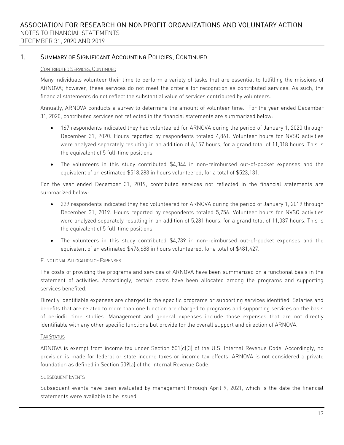## 1. SUMMARY OF SIGNIFICANT ACCOUNTING POLICIES, CONTINUED

#### CONTRIBUTED SERVICES, CONTINUED

Many individuals volunteer their time to perform a variety of tasks that are essential to fulfilling the missions of ARNOVA; however, these services do not meet the criteria for recognition as contributed services. As such, the financial statements do not reflect the substantial value of services contributed by volunteers.

Annually, ARNOVA conducts a survey to determine the amount of volunteer time. For the year ended December 31, 2020, contributed services not reflected in the financial statements are summarized below:

- 167 respondents indicated they had volunteered for ARNOVA during the period of January 1, 2020 through December 31, 2020. Hours reported by respondents totaled 4,861. Volunteer hours for NVSQ activities were analyzed separately resulting in an addition of 6,157 hours, for a grand total of 11,018 hours. This is the equivalent of 5 full-time positions.
- The volunteers in this study contributed \$4,844 in non-reimbursed out-of-pocket expenses and the equivalent of an estimated \$518,283 in hours volunteered, for a total of \$523,131.

For the year ended December 31, 2019, contributed services not reflected in the financial statements are summarized below:

- 229 respondents indicated they had volunteered for ARNOVA during the period of January 1, 2019 through December 31, 2019. Hours reported by respondents totaled 5,756. Volunteer hours for NVSQ activities were analyzed separately resulting in an addition of 5,281 hours, for a grand total of 11,037 hours. This is the equivalent of 5 full-time positions.
- The volunteers in this study contributed \$4,739 in non-reimbursed out-of-pocket expenses and the equivalent of an estimated \$476,688 in hours volunteered, for a total of \$481,427.

#### FUNCTIONAL ALLOCATION OF EXPENSES

The costs of providing the programs and services of ARNOVA have been summarized on a functional basis in the statement of activities. Accordingly, certain costs have been allocated among the programs and supporting services benefited.

Directly identifiable expenses are charged to the specific programs or supporting services identified. Salaries and benefits that are related to more than one function are charged to programs and supporting services on the basis of periodic time studies. Management and general expenses include those expenses that are not directly identifiable with any other specific functions but provide for the overall support and direction of ARNOVA.

#### TAX STATUS

ARNOVA is exempt from income tax under Section 501(c)(3) of the U.S. Internal Revenue Code. Accordingly, no provision is made for federal or state income taxes or income tax effects. ARNOVA is not considered a private foundation as defined in Section 509(a) of the Internal Revenue Code.

#### SUBSEQUENT EVENTS

Subsequent events have been evaluated by management through April 9, 2021, which is the date the financial statements were available to be issued.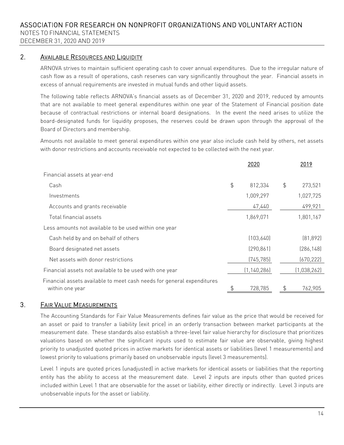### 2. AVAILABLE RESOURCES AND LIQUIDITY

ARNOVA strives to maintain sufficient operating cash to cover annual expenditures. Due to the irregular nature of cash flow as a result of operations, cash reserves can vary significantly throughout the year. Financial assets in excess of annual requirements are invested in mutual funds and other liquid assets.

The following table reflects ARNOVA's financial assets as of December 31, 2020 and 2019, reduced by amounts that are not available to meet general expenditures within one year of the Statement of Financial position date because of contractual restrictions or internal board designations. In the event the need arises to utilize the board-designated funds for liquidity proposes, the reserves could be drawn upon through the approval of the Board of Directors and membership.

Amounts not available to meet general expenditures within one year also include cash held by others, net assets with donor restrictions and accounts receivable not expected to be collected with the next year.

|                                                                                           | 2020          |    | 2019        |
|-------------------------------------------------------------------------------------------|---------------|----|-------------|
| Financial assets at year-end                                                              |               |    |             |
| Cash                                                                                      | \$<br>812,334 | \$ | 273,521     |
| Investments                                                                               | 1,009,297     |    | 1,027,725   |
| Accounts and grants receivable                                                            | 47,440        |    | 499,921     |
| Total financial assets                                                                    | 1,869,071     |    | 1,801,167   |
| Less amounts not available to be used within one year                                     |               |    |             |
| Cash held by and on behalf of others                                                      | (103, 640)    |    | [81,892]    |
| Board designated net assets                                                               | (290, 861)    |    | [286, 148]  |
| Net assets with donor restrictions                                                        | (745, 785)    |    | (670, 222)  |
| Financial assets not available to be used with one year                                   | (1, 140, 286) |    | (1,038,262) |
| Financial assets available to meet cash needs for general expenditures<br>within one year | 728,785       | S  | 762,905     |

## 3. FAIR VALUE MEASUREMENTS

The Accounting Standards for Fair Value Measurements defines fair value as the price that would be received for an asset or paid to transfer a liability (exit price) in an orderly transaction between market participants at the measurement date. These standards also establish a three-level fair value hierarchy for disclosure that prioritizes valuations based on whether the significant inputs used to estimate fair value are observable, giving highest priority to unadjusted quoted prices in active markets for identical assets or liabilities (level 1 measurements) and lowest priority to valuations primarily based on unobservable inputs (level 3 measurements).

Level 1 inputs are quoted prices (unadjusted) in active markets for identical assets or liabilities that the reporting entity has the ability to access at the measurement date. Level 2 inputs are inputs other than quoted prices included within Level 1 that are observable for the asset or liability, either directly or indirectly. Level 3 inputs are unobservable inputs for the asset or liability.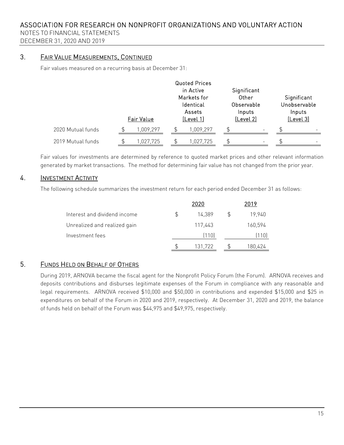NOTES TO FINANCIAL STATEMENTS DECEMBER 31, 2020 AND 2019

## 3. FAIR VALUE MEASUREMENTS, CONTINUED

Fair values measured on a recurring basis at December 31:

|                   |  | Fair Value |  | <b>Quoted Prices</b><br>in Active<br>Markets for<br>Identical<br>Assets<br>(Level 1) | Significant<br>Other<br>Observable<br>Inputs<br>[Level 2] |                          | Significant<br>Unobservable<br>Inputs<br>(Level 3) |
|-------------------|--|------------|--|--------------------------------------------------------------------------------------|-----------------------------------------------------------|--------------------------|----------------------------------------------------|
| 2020 Mutual funds |  | 1,009,297  |  | 1,009,297                                                                            | \$                                                        | -                        |                                                    |
| 2019 Mutual funds |  | 1,027,725  |  | 1,027,725                                                                            |                                                           | $\overline{\phantom{m}}$ | -                                                  |

Fair values for investments are determined by reference to quoted market prices and other relevant information generated by market transactions. The method for determining fair value has not changed from the prior year.

## 4. **INVESTMENT ACTIVITY**

The following schedule summarizes the investment return for each period ended December 31 as follows:

|                              |                | 2020    |     | 2019    |
|------------------------------|----------------|---------|-----|---------|
| Interest and dividend income | $\mathfrak{L}$ | 14.389  | \$. | 19,940  |
| Unrealized and realized gain |                | 117,443 |     | 160,594 |
| Investment fees              |                | (110)   |     | (110)   |
|                              |                | 131,722 |     | 180,424 |

## 5. FUNDS HELD ON BEHALF OF OTHERS

During 2019, ARNOVA became the fiscal agent for the Nonprofit Policy Forum (the Forum). ARNOVA receives and deposits contributions and disburses legitimate expenses of the Forum in compliance with any reasonable and legal requirements. ARNOVA received \$10,000 and \$50,000 in contributions and expended \$15,000 and \$25 in expenditures on behalf of the Forum in 2020 and 2019, respectively. At December 31, 2020 and 2019, the balance of funds held on behalf of the Forum was \$44,975 and \$49,975, respectively.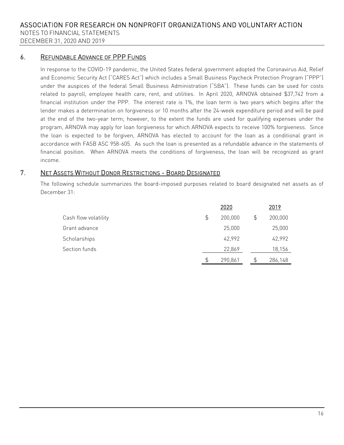## 6. REFUNDABLE ADVANCE OF PPP FUNDS

In response to the COVID-19 pandemic, the United States federal government adopted the Coronavirus Aid, Relief and Economic Security Act ("CARES Act") which includes a Small Business Paycheck Protection Program ("PPP") under the auspices of the federal Small Business Administration ("SBA"). These funds can be used for costs related to payroll, employee health care, rent, and utilities. In April 2020, ARNOVA obtained \$37,742 from a financial institution under the PPP. The interest rate is 1%, the loan term is two years which begins after the lender makes a determination on forgiveness or 10 months after the 24-week expenditure period and will be paid at the end of the two-year term; however, to the extent the funds are used for qualifying expenses under the program, ARNOVA may apply for loan forgiveness for which ARNOVA expects to receive 100% forgiveness. Since the loan is expected to be forgiven, ARNOVA has elected to account for the loan as a conditional grant in accordance with FASB ASC 958-605. As such the loan is presented as a refundable advance in the statements of financial position. When ARNOVA meets the conditions of forgiveness, the loan will be recognized as grant income.

## 7. NET ASSETS WITHOUT DONOR RESTRICTIONS - BOARD DESIGNATED

The following schedule summarizes the board-imposed purposes related to board designated net assets as of December 31:

|                      |                | 2020    | 2019          |
|----------------------|----------------|---------|---------------|
| Cash flow volatility | $\mathfrak{S}$ | 200,000 | \$<br>200,000 |
| Grant advance        |                | 25,000  | 25,000        |
| Scholarships         |                | 42,992  | 42,992        |
| Section funds        |                | 22,869  | 18,156        |
|                      | \$             | 290,861 | 286,148       |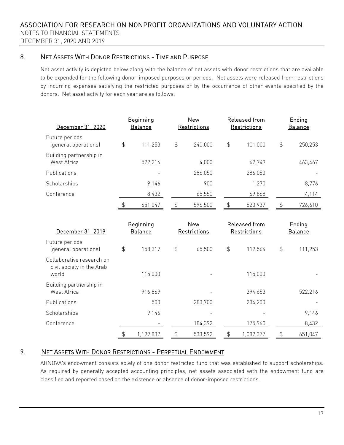## 8. NET ASSETS WITH DONOR RESTRICTIONS - TIME AND PURPOSE

Net asset activity is depicted below along with the balance of net assets with donor restrictions that are available to be expended for the following donor-imposed purposes or periods. Net assets were released from restrictions by incurring expenses satisfying the restricted purposes or by the occurrence of other events specified by the donors. Net asset activity for each year are as follows:

| December 31, 2020                      |               | Beginning<br><b>Balance</b> | <b>New</b><br>Restrictions |    | Released from<br>Restrictions |               |         |  | Ending<br><b>Balance</b> |
|----------------------------------------|---------------|-----------------------------|----------------------------|----|-------------------------------|---------------|---------|--|--------------------------|
| Future periods<br>(general operations) | $\frac{1}{2}$ | 111,253                     | \$<br>240,000              | \$ | 101,000                       | $\frac{4}{3}$ | 250,253 |  |                          |
| Building partnership in<br>West Africa |               | 522,216                     | 4,000                      |    | 62,749                        |               | 463,467 |  |                          |
| Publications                           |               |                             | 286,050                    |    | 286,050                       |               |         |  |                          |
| Scholarships                           |               | 9.146                       | 900                        |    | 1,270                         |               | 8,776   |  |                          |
| Conference                             |               | 8,432                       | 65,550                     |    | 69,868                        |               | 4,114   |  |                          |
|                                        | \$            | 651.047                     | \$<br>596.500              | \$ | 520,937                       | \$            | 726,610 |  |                          |

| December 31, 2019                                               | Beginning<br><b>Balance</b> | <b>New</b><br>Restrictions |         | Released from<br>Restrictions |           | Ending<br><b>Balance</b> |         |
|-----------------------------------------------------------------|-----------------------------|----------------------------|---------|-------------------------------|-----------|--------------------------|---------|
| Future periods<br>(general operations)                          | \$<br>158,317               | $\frac{4}{5}$              | 65,500  | $\frac{4}{5}$                 | 112,564   | $\frac{4}{5}$            | 111,253 |
| Collaborative research on<br>civil society in the Arab<br>world | 115,000                     |                            |         |                               | 115,000   |                          |         |
| Building partnership in<br>West Africa                          | 916,869                     |                            |         |                               | 394,653   |                          | 522,216 |
| Publications                                                    | 500                         |                            | 283,700 |                               | 284,200   |                          |         |
| Scholarships                                                    | 9,146                       |                            |         |                               |           |                          | 9,146   |
| Conference                                                      |                             |                            | 184,392 |                               | 175,960   |                          | 8,432   |
|                                                                 | \$<br>1,199,832             | \$                         | 533,592 | \$                            | 1,082,377 | \$                       | 651,047 |

## 9. NET ASSETS WITH DONOR RESTRICTIONS - PERPETUAL ENDOWMENT

ARNOVA's endowment consists solely of one donor restricted fund that was established to support scholarships. As required by generally accepted accounting principles, net assets associated with the endowment fund are classified and reported based on the existence or absence of donor-imposed restrictions.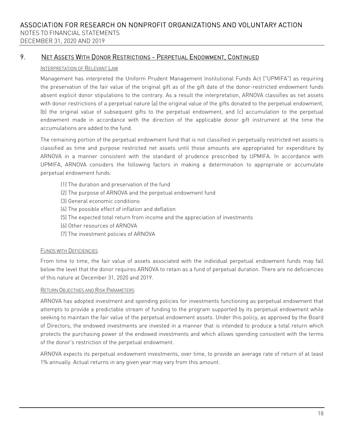## 9. NET ASSETS WITH DONOR RESTRICTIONS - PERPETUAL ENDOWMENT, CONTINUED

#### INTERPRETATION OF RELEVANT LAW

Management has interpreted the Uniform Prudent Management Institutional Funds Act ("UPMIFA") as requiring the preservation of the fair value of the original gift as of the gift date of the donor-restricted endowment funds absent explicit donor stipulations to the contrary. As a result the interpretation, ARNOVA classifies as net assets with donor restrictions of a perpetual nature (a) the original value of the gifts donated to the perpetual endowment, (b) the original value of subsequent gifts to the perpetual endowment, and (c) accumulation to the perpetual endowment made in accordance with the direction of the applicable donor gift instrument at the time the accumulations are added to the fund.

The remaining portion of the perpetual endowment fund that is not classified in perpetually restricted net assets is classified as time and purpose restricted net assets until those amounts are appropriated for expenditure by ARNOVA in a manner consistent with the standard of prudence prescribed by UPMIFA. In accordance with UPMIFA, ARNOVA considers the following factors in making a determination to appropriate or accumulate perpetual endowment funds:

- (1) The duration and preservation of the fund
- (2) The purpose of ARNOVA and the perpetual endowment fund
- (3) General economic conditions
- (4) The possible effect of inflation and deflation
- (5) The expected total return from income and the appreciation of investments
- (6) Other resources of ARNOVA
- (7) The investment policies of ARNOVA

#### FUNDS WITH DEFICIENCIES

From time to time, the fair value of assets associated with the individual perpetual endowment funds may fall below the level that the donor requires ARNOVA to retain as a fund of perpetual duration. There are no deficiencies of this nature at December 31, 2020 and 2019.

#### RETURN OBJECTIVES AND RISK PARAMETERS

ARNOVA has adopted investment and spending policies for investments functioning as perpetual endowment that attempts to provide a predictable stream of funding to the program supported by its perpetual endowment while seeking to maintain the fair value of the perpetual endowment assets. Under this policy, as approved by the Board of Directors, the endowed investments are invested in a manner that is intended to produce a total return which protects the purchasing power of the endowed investments and which allows spending consistent with the terms of the donor's restriction of the perpetual endowment.

ARNOVA expects its perpetual endowment investments, over time, to provide an average rate of return of at least 1% annually. Actual returns in any given year may vary from this amount.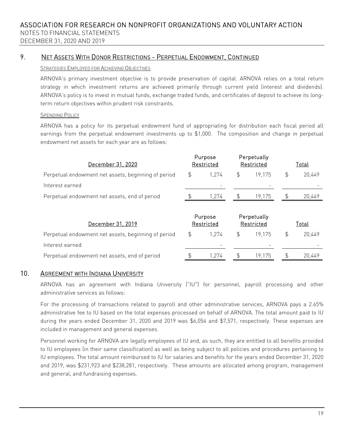## 9. NET ASSETS WITH DONOR RESTRICTIONS - PERPETUAL ENDOWMENT, CONTINUED

#### STRATEGIES EMPLOYED FOR ACHIEVING OBJECTIVES

ARNOVA's primary investment objective is to provide preservation of capital. ARNOVA relies on a total return strategy in which investment returns are achieved primarily through current yield (interest and dividends). ARNOVA's policy is to invest in mutual funds, exchange traded funds, and certificates of deposit to achieve its longterm return objectives within prudent risk constraints.

#### SPENDING POLICY

ARNOVA has a policy for its perpetual endowment fund of appropriating for distribution each fiscal period all earnings from the perpetual endowment investments up to \$1,000. The composition and change in perpetual endowment net assets for each year are as follows:

| December 31, 2020                                   |    | Purpose<br>Restricted |  | Perpetually<br>Restricted | Total |        |  |
|-----------------------------------------------------|----|-----------------------|--|---------------------------|-------|--------|--|
| Perpetual endowment net assets, beginning of period | \$ | 1 274                 |  | 19 175                    |       | 20.449 |  |
| Interest earned                                     |    |                       |  | $\overline{\phantom{a}}$  |       |        |  |
| Perpetual endowment net assets, end of period       |    | 1.274                 |  | 19.175                    |       | 20,449 |  |
|                                                     |    |                       |  |                           |       |        |  |

| December 31, 2019                                   |    | Purpose<br>Restricted |  | Perpetually<br>Restricted | <u>Total</u> |        |  |
|-----------------------------------------------------|----|-----------------------|--|---------------------------|--------------|--------|--|
| Perpetual endowment net assets, beginning of period | \$ | 1.274                 |  | 19 175                    |              | 20,449 |  |
| Interest earned                                     |    |                       |  | $\overline{\phantom{a}}$  |              |        |  |
| Perpetual endowment net assets, end of period       |    | 274                   |  | 19.175                    |              | 20,449 |  |

### 10. AGREEMENT WITH INDIANA UNIVERSITY

ARNOVA has an agreement with Indiana University ("IU") for personnel, payroll processing and other administrative services as follows:

For the processing of transactions related to payroll and other administrative services, ARNOVA pays a 2.65% administrative fee to IU based on the total expenses processed on behalf of ARNOVA. The total amount paid to IU during the years ended December 31, 2020 and 2019 was \$6,054 and \$7,571, respectively. These expenses are included in management and general expenses.

Personnel working for ARNOVA are legally employees of lU and, as such, they are entitled to all benefits provided to IU employees (in their same classification) as well as being subject to all policies and procedures pertaining to IU employees. The total amount reimbursed to IU for salaries and benefits for the years ended December 31, 2020 and 2019, was \$231,923 and \$238,281, respectively. These amounts are allocated among program, management and general, and fundraising expenses.